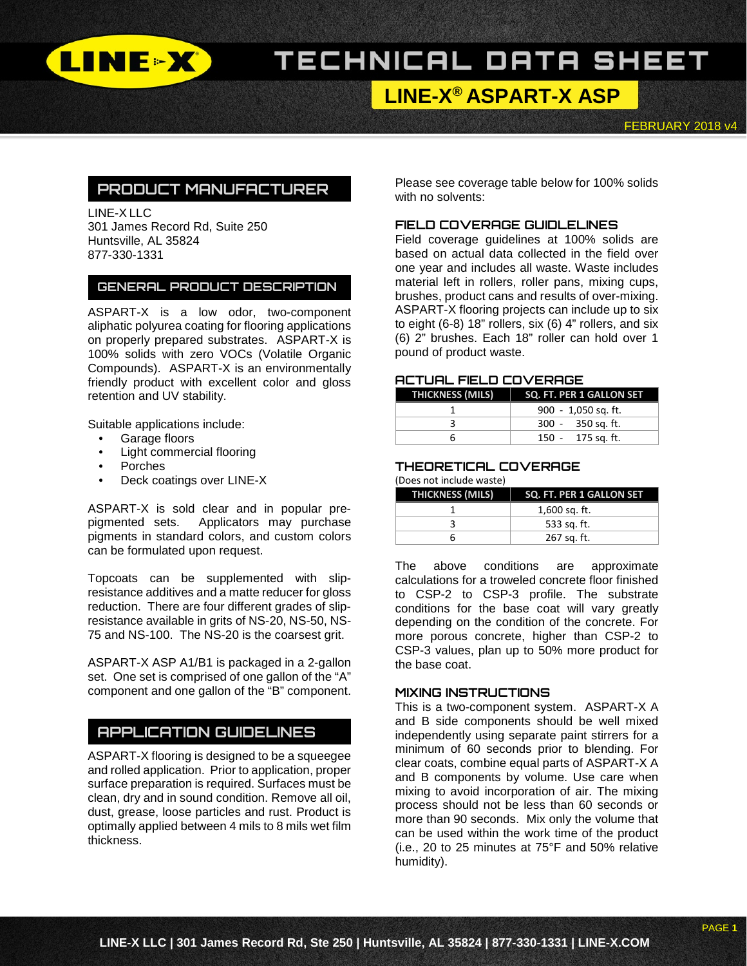

**LINE-X® ASPART-X ASP**

FEBRUARY 2018 v4

## **PRODUCT MANUFACTURER**

LINE-X LLC 301 James Record Rd, Suite 250 Huntsville, AL 35824 877-330-1331

#### **GENERAL PRODUCT DESCRIPTION**

ASPART-X is a low odor, two-component aliphatic polyurea coating for flooring applications on properly prepared substrates. ASPART-X is 100% solids with zero VOCs (Volatile Organic Compounds). ASPART-X is an environmentally friendly product with excellent color and gloss retention and UV stability.

Suitable applications include:

- Garage floors
- Light commercial flooring
- Porches
- Deck coatings over LINE-X

ASPART-X is sold clear and in popular prepigmented sets. Applicators may purchase pigments in standard colors, and custom colors can be formulated upon request.

Topcoats can be supplemented with slipresistance additives and a matte reducer for gloss reduction. There are four different grades of slipresistance available in grits of NS-20, NS-50, NS-75 and NS-100. The NS-20 is the coarsest grit.

ASPART-X ASP A1/B1 is packaged in a 2-gallon set. One set is comprised of one gallon of the "A" component and one gallon of the "B" component.

### **APPLICATION GUIDELINES**

ASPART-X flooring is designed to be a squeegee and rolled application. Prior to application, proper surface preparation is required. Surfaces must be clean, dry and in sound condition. Remove all oil, dust, grease, loose particles and rust. Product is optimally applied between 4 mils to 8 mils wet film thickness.

Please see coverage table below for 100% solids with no solvents:

#### **FIELD COVERAGE GUIDLELINES**

Field coverage guidelines at 100% solids are based on actual data collected in the field over one year and includes all waste. Waste includes material left in rollers, roller pans, mixing cups, brushes, product cans and results of over-mixing. ASPART-X flooring projects can include up to six to eight (6-8) 18" rollers, six (6) 4" rollers, and six (6) 2" brushes. Each 18" roller can hold over 1 pound of product waste.

#### **ACTUAL FIELD COVERAGE**

|   | THICKNESS (MILS)   SQ. FT. PER 1 GALLON SET |
|---|---------------------------------------------|
|   | 900 - 1,050 sq. ft.                         |
|   | 300 - 350 sq. ft.                           |
| n | 150 - 175 sq. ft.                           |

#### **THEORETICAL COVERAGE** (Does not include waste)

| <b>THICKNESS (MILS)</b> | SQ. FT. PER 1 GALLON SET |
|-------------------------|--------------------------|
|                         | 1,600 sq. ft.            |
|                         | 533 sq. ft.              |
|                         | 267 sq. ft.              |

The above conditions are approximate calculations for a troweled concrete floor finished to CSP-2 to CSP-3 profile. The substrate conditions for the base coat will vary greatly depending on the condition of the concrete. For more porous concrete, higher than CSP-2 to CSP-3 values, plan up to 50% more product for the base coat.

#### **MIXING INSTRUCTIONS**

This is a two-component system. ASPART-X A and B side components should be well mixed independently using separate paint stirrers for a minimum of 60 seconds prior to blending. For clear coats, combine equal parts of ASPART-X A and B components by volume. Use care when mixing to avoid incorporation of air. The mixing process should not be less than 60 seconds or more than 90 seconds. Mix only the volume that can be used within the work time of the product (i.e., 20 to 25 minutes at 75°F and 50% relative humidity).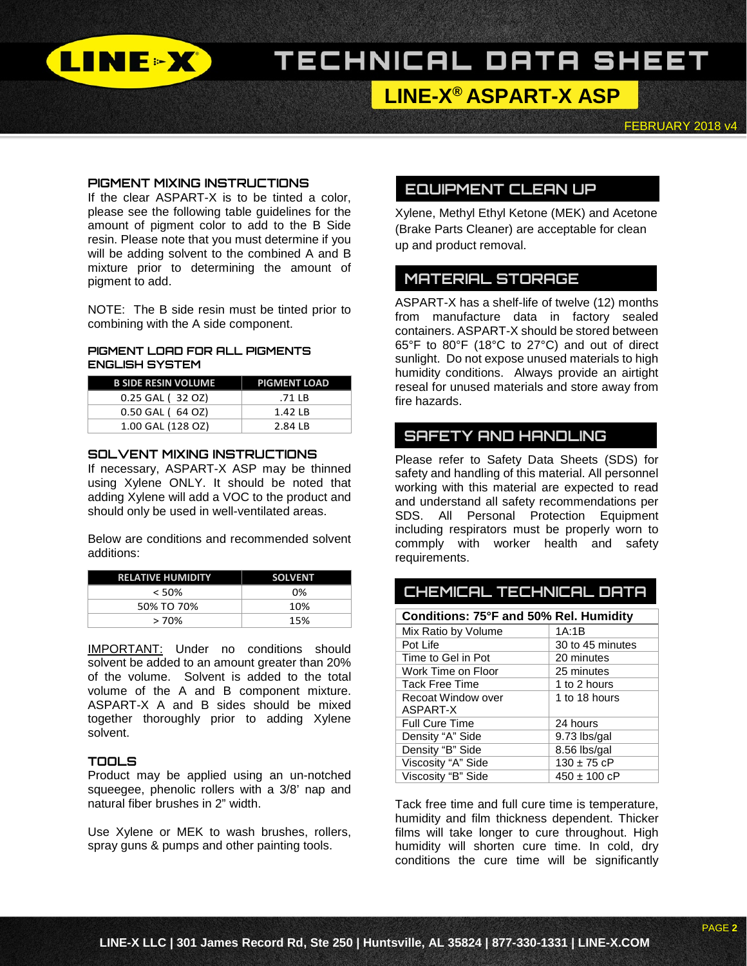

# **LINE-X® ASPART-X ASP**

FEBRUARY 2018 v4

#### **PIGMENT MIXING INSTRUCTIONS**

If the clear ASPART-X is to be tinted a color, please see the following table guidelines for the amount of pigment color to add to the B Side resin. Please note that you must determine if you will be adding solvent to the combined A and B mixture prior to determining the amount of pigment to add.

NOTE: The B side resin must be tinted prior to combining with the A side component.

#### **PIGMENT LOAD FOR ALL PIGMENTS ENGLISH SYSTEM**

| <b>B SIDE RESIN VOLUME</b> | <b>PIGMENT LOAD</b> |
|----------------------------|---------------------|
| 0.25 GAL (32 OZ)           | $.71$ IB            |
| 0.50 GAL (64 OZ)           | $1.42$ IB           |
| 1.00 GAL (128 OZ)          | 2.84 LB             |

#### **SOLVENT MIXING INSTRUCTIONS**

If necessary, ASPART-X ASP may be thinned using Xylene ONLY. It should be noted that adding Xylene will add a VOC to the product and should only be used in well-ventilated areas.

Below are conditions and recommended solvent additions:

| <b>RELATIVE HUMIDITY</b> | <b>SOLVENT</b> |
|--------------------------|----------------|
| $< 50\%$                 | በ%             |
| 50% TO 70%               | 10%            |
| $>70\%$                  | 15%            |

IMPORTANT: Under no conditions should solvent be added to an amount greater than 20% of the volume. Solvent is added to the total volume of the A and B component mixture. ASPART-X A and B sides should be mixed together thoroughly prior to adding Xylene solvent.

#### **TOOLS**

Product may be applied using an un-notched squeegee, phenolic rollers with a 3/8' nap and natural fiber brushes in 2" width.

Use Xylene or MEK to wash brushes, rollers, spray guns & pumps and other painting tools.

## **EQUIPMENT CLEAN UP**

Xylene, Methyl Ethyl Ketone (MEK) and Acetone (Brake Parts Cleaner) are acceptable for clean up and product removal.

### **MATERIAL STORAGE**

ASPART-X has a shelf-life of twelve (12) months from manufacture data in factory sealed containers. ASPART-X should be stored between 65°F to 80°F (18°C to 27°C) and out of direct sunlight. Do not expose unused materials to high humidity conditions. Always provide an airtight reseal for unused materials and store away from fire hazards.

### **SAFETY AND HANDLING**

Please refer to Safety Data Sheets (SDS) for safety and handling of this material. All personnel working with this material are expected to read and understand all safety recommendations per SDS. All Personal Protection Equipment including respirators must be properly worn to commply with worker health and safety requirements.

| Conditions: 75°F and 50% Rel. Humidity |                  |  |
|----------------------------------------|------------------|--|
| Mix Ratio by Volume                    | 1A:1B            |  |
| Pot Life                               | 30 to 45 minutes |  |
| Time to Gel in Pot                     | 20 minutes       |  |
| Work Time on Floor                     | 25 minutes       |  |
| <b>Tack Free Time</b>                  | 1 to 2 hours     |  |
| Recoat Window over                     | 1 to 18 hours    |  |
| ASPART-X                               |                  |  |
| <b>Full Cure Time</b>                  | 24 hours         |  |
| Density "A" Side                       | 9.73 lbs/gal     |  |
| Density "B" Side                       | 8.56 lbs/gal     |  |
| Viscosity "A" Side                     | $130 \pm 75$ cP  |  |
| Viscosity "B" Side                     | $450 \pm 100$ cP |  |

**CHEMICAL TECHNICAL DATA**

Tack free time and full cure time is temperature, humidity and film thickness dependent. Thicker films will take longer to cure throughout. High humidity will shorten cure time. In cold, dry conditions the cure time will be significantly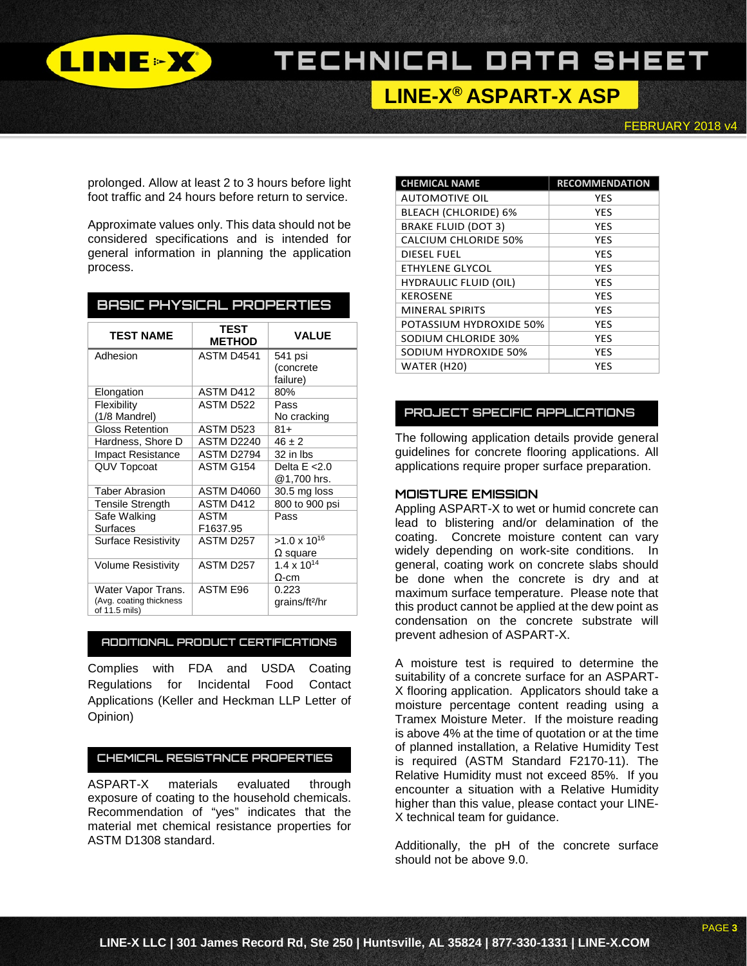

# **LINE-X® ASPART-X ASP**

FEBRUARY 2018 v4

prolonged. Allow at least 2 to 3 hours before light foot traffic and 24 hours before return to service.

Approximate values only. This data should not be considered specifications and is intended for general information in planning the application process.

| <b>BASIC PHYSICAL PROPERTIES</b>         |                              |                            |  |
|------------------------------------------|------------------------------|----------------------------|--|
| <b>TEST NAME</b>                         | <b>TEST</b><br><b>METHOD</b> | <b>VALUE</b>               |  |
| Adhesion                                 | ASTM D4541                   | 541 psi                    |  |
|                                          |                              | (concrete<br>failure)      |  |
| Elongation                               | ASTM D412                    | 80%                        |  |
| Flexibility                              | ASTM D522                    | Pass                       |  |
| (1/8 Mandrel)                            |                              | No cracking                |  |
| <b>Gloss Retention</b>                   | ASTM D523                    | $81+$                      |  |
| Hardness, Shore D                        | <b>ASTM D2240</b>            | $46 \pm 2$                 |  |
| <b>Impact Resistance</b>                 | ASTM D2794                   | 32 in Ibs                  |  |
| <b>QUV Topcoat</b>                       | ASTM G154                    | Delta $E < 2.0$            |  |
|                                          |                              | @1,700 hrs.                |  |
| <b>Taber Abrasion</b>                    | ASTM D4060                   | 30.5 mg loss               |  |
| <b>Tensile Strength</b>                  | ASTM D412                    | 800 to 900 psi             |  |
| Safe Walking                             | ASTM                         | Pass                       |  |
| <b>Surfaces</b>                          | F1637.95                     |                            |  |
| <b>Surface Resistivity</b>               | ASTM D257                    | $>1.0 \times 10^{16}$      |  |
|                                          |                              | $\Omega$ square            |  |
| <b>Volume Resistivity</b>                | ASTM D257                    | $1.4 \times 10^{14}$       |  |
|                                          |                              | Ω-cm                       |  |
| Water Vapor Trans.                       | ASTM E96                     | 0.223                      |  |
| (Avg. coating thickness<br>of 11.5 mils) |                              | grains/ft <sup>2</sup> /hr |  |

#### **ADDITIONAL PRODUCT CERTIFICATIONS**

Complies with FDA and USDA Coating Regulations for Incidental Food Contact Applications (Keller and Heckman LLP Letter of Opinion)

#### **CHEMICAL RESISTANCE PROPERTIES**

ASPART-X materials evaluated through exposure of coating to the household chemicals. Recommendation of "yes" indicates that the material met chemical resistance properties for ASTM D1308 standard.

| <b>CHEMICAL NAME</b>         | <b>RECOMMENDATION</b> |
|------------------------------|-----------------------|
| <b>AUTOMOTIVE OIL</b>        | <b>YES</b>            |
| BLEACH (CHLORIDE) 6%         | YES                   |
| <b>BRAKE FLUID (DOT 3)</b>   | <b>YES</b>            |
| <b>CALCIUM CHLORIDE 50%</b>  | <b>YES</b>            |
| <b>DIESEL FUEL</b>           | <b>YES</b>            |
| ETHYLENE GLYCOL              | <b>YES</b>            |
| <b>HYDRAULIC FLUID (OIL)</b> | <b>YES</b>            |
| <b>KEROSENE</b>              | <b>YES</b>            |
| <b>MINERAL SPIRITS</b>       | <b>YES</b>            |
| POTASSIUM HYDROXIDE 50%      | YES                   |
| SODIUM CHLORIDE 30%          | <b>YES</b>            |
| SODIUM HYDROXIDE 50%         | <b>YES</b>            |
| WATER (H20)                  | YES                   |

#### **PROJECT SPECIFIC APPLICATIONS**

The following application details provide general guidelines for concrete flooring applications. All applications require proper surface preparation.

#### **MOISTURE EMISSION**

Appling ASPART-X to wet or humid concrete can lead to blistering and/or delamination of the coating. Concrete moisture content can vary widely depending on work-site conditions. In general, coating work on concrete slabs should be done when the concrete is dry and at maximum surface temperature. Please note that this product cannot be applied at the dew point as condensation on the concrete substrate will prevent adhesion of ASPART-X.

A moisture test is required to determine the suitability of a concrete surface for an ASPART-X flooring application. Applicators should take a moisture percentage content reading using a Tramex Moisture Meter. If the moisture reading is above 4% at the time of quotation or at the time of planned installation, a Relative Humidity Test is required (ASTM Standard F2170-11). The Relative Humidity must not exceed 85%. If you encounter a situation with a Relative Humidity higher than this value, please contact your LINE-X technical team for guidance.

Additionally, the pH of the concrete surface should not be above 9.0.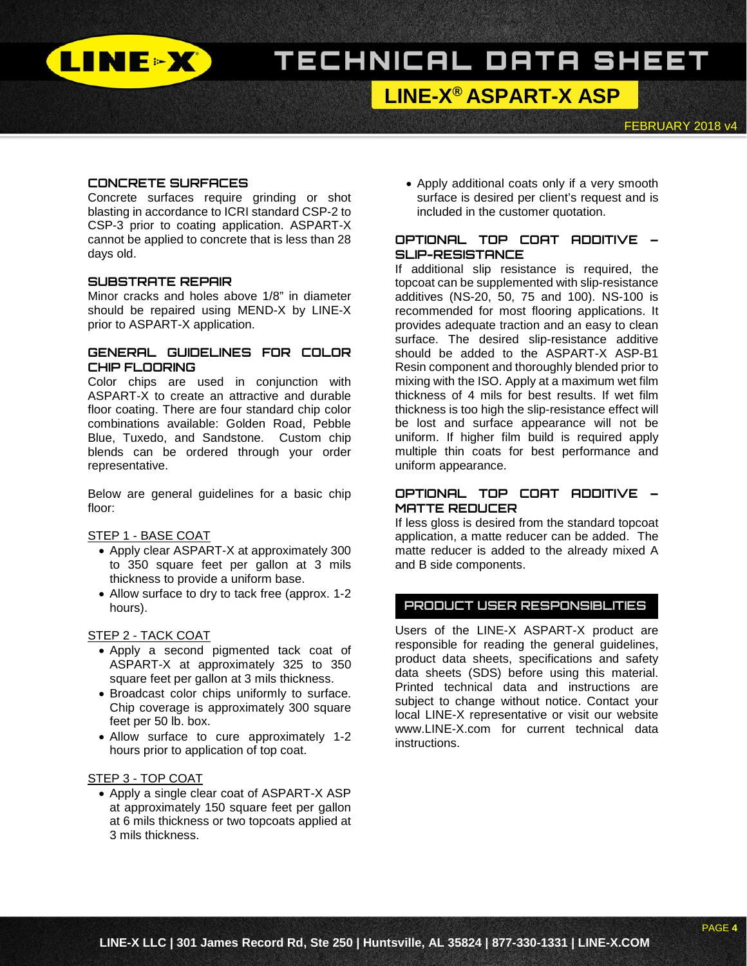

## **LINE-X® ASPART-X ASP**

FEBRUARY 2018 v4

#### **CONCRETE SURFACES**

Concrete surfaces require grinding or shot blasting in accordance to ICRI standard CSP-2 to CSP-3 prior to coating application. ASPART-X cannot be applied to concrete that is less than 28 days old.

#### **SUBSTRATE REPAIR**

Minor cracks and holes above 1/8" in diameter should be repaired using MEND-X by LINE-X prior to ASPART-X application.

#### **GENERAL GUIDELINES FOR COLOR CHIP FLOORING**

Color chips are used in conjunction with ASPART-X to create an attractive and durable floor coating. There are four standard chip color combinations available: Golden Road, Pebble Blue, Tuxedo, and Sandstone. Custom chip blends can be ordered through your order representative.

Below are general guidelines for a basic chip floor:

#### STEP 1 - BASE COAT

- Apply clear ASPART-X at approximately 300 to 350 square feet per gallon at 3 mils thickness to provide a uniform base.
- Allow surface to dry to tack free (approx. 1-2 hours).

#### STEP 2 - TACK COAT

- Apply a second pigmented tack coat of ASPART-X at approximately 325 to 350 square feet per gallon at 3 mils thickness.
- Broadcast color chips uniformly to surface. Chip coverage is approximately 300 square feet per 50 lb. box.
- Allow surface to cure approximately 1-2 hours prior to application of top coat.

#### STEP 3 - TOP COAT

• Apply a single clear coat of ASPART-X ASP at approximately 150 square feet per gallon at 6 mils thickness or two topcoats applied at 3 mils thickness.

• Apply additional coats only if a very smooth surface is desired per client's request and is included in the customer quotation.

#### **OPTIONAL TOP COAT ADDITIVE – SLIP-RESISTANCE**

If additional slip resistance is required, the topcoat can be supplemented with slip-resistance additives (NS-20, 50, 75 and 100). NS-100 is recommended for most flooring applications. It provides adequate traction and an easy to clean surface. The desired slip-resistance additive should be added to the ASPART-X ASP-B1 Resin component and thoroughly blended prior to mixing with the ISO. Apply at a maximum wet film thickness of 4 mils for best results. If wet film thickness is too high the slip-resistance effect will be lost and surface appearance will not be uniform. If higher film build is required apply multiple thin coats for best performance and uniform appearance.

#### **OPTIONAL TOP COAT ADDITIVE – MATTE REDUCER**

If less gloss is desired from the standard topcoat application, a matte reducer can be added. The matte reducer is added to the already mixed A and B side components.

### **PRODUCT USER RESPONSIBLITIES**

Users of the LINE-X ASPART-X product are responsible for reading the general guidelines, product data sheets, specifications and safety data sheets (SDS) before using this material. Printed technical data and instructions are subject to change without notice. Contact your local LINE-X representative or visit our website www.LINE-X.com for current technical data instructions.